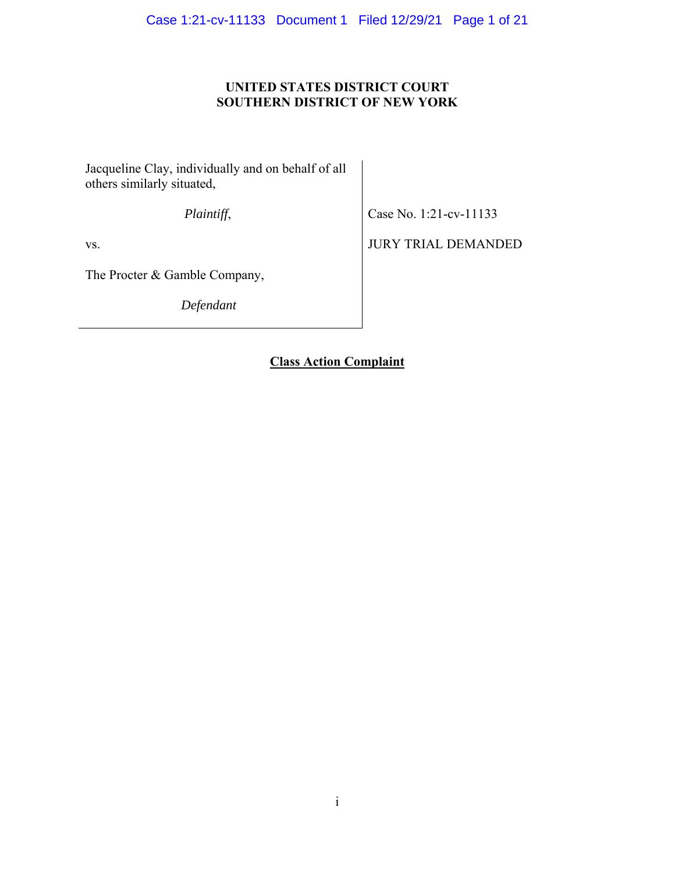## **UNITED STATES DISTRICT COURT SOUTHERN DISTRICT OF NEW YORK**

Jacqueline Clay, individually and on behalf of all others similarly situated,

*Plaintiff*,

Case No. 1:21-cv-11133

vs.

The Procter & Gamble Company,

*Defendant*

JURY TRIAL DEMANDED

**Class Action Complaint**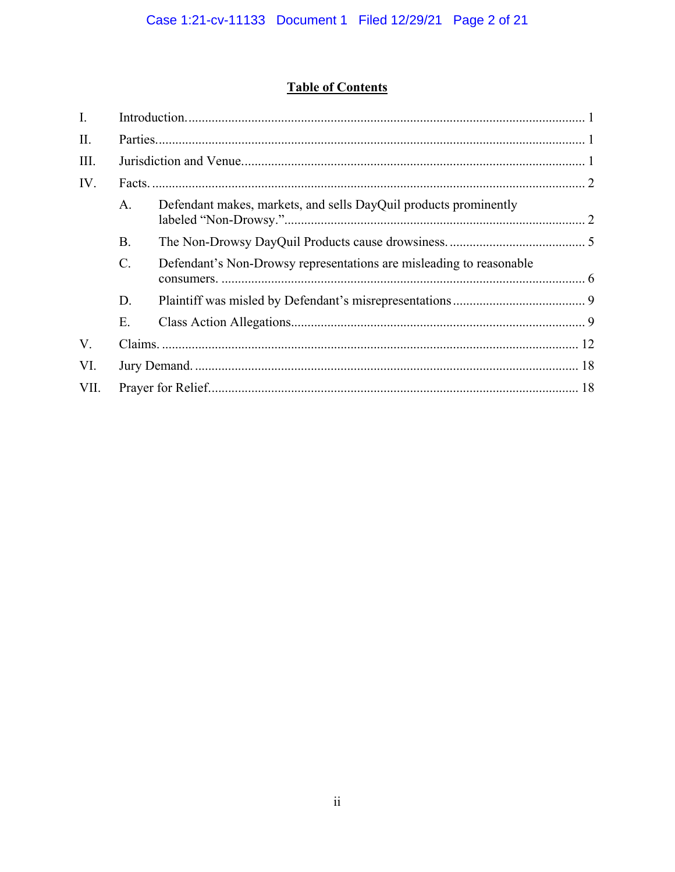# **Table of Contents**

| $\mathbf{I}$ . |                 |                                                                     |  |
|----------------|-----------------|---------------------------------------------------------------------|--|
| II.            |                 |                                                                     |  |
| III.           |                 |                                                                     |  |
| IV.            |                 |                                                                     |  |
|                | A.              | Defendant makes, markets, and sells DayQuil products prominently    |  |
|                | <b>B.</b>       |                                                                     |  |
|                | $\mathcal{C}$ . | Defendant's Non-Drowsy representations are misleading to reasonable |  |
|                | D.              |                                                                     |  |
|                | Ε.              |                                                                     |  |
| V.             |                 |                                                                     |  |
| VI.            |                 |                                                                     |  |
| VII.           |                 |                                                                     |  |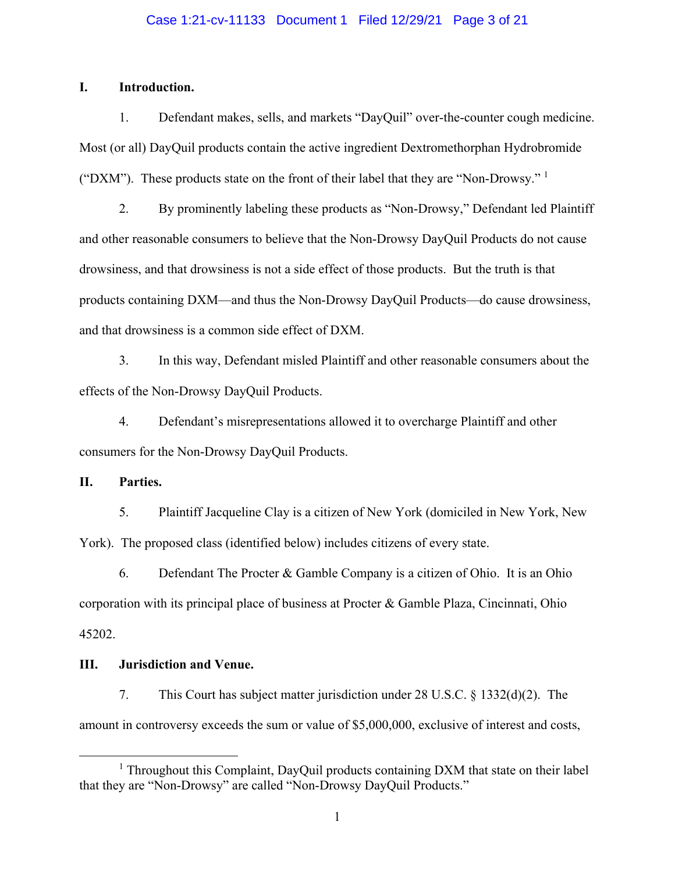## Case 1:21-cv-11133 Document 1 Filed 12/29/21 Page 3 of 21

## **I. Introduction.**

1. Defendant makes, sells, and markets "DayQuil" over-the-counter cough medicine. Most (or all) DayQuil products contain the active ingredient Dextromethorphan Hydrobromide ("DXM"). These products state on the front of their label that they are "Non-Drowsy."  $1$ 

2. By prominently labeling these products as "Non-Drowsy," Defendant led Plaintiff and other reasonable consumers to believe that the Non-Drowsy DayQuil Products do not cause drowsiness, and that drowsiness is not a side effect of those products. But the truth is that products containing DXM—and thus the Non-Drowsy DayQuil Products—do cause drowsiness, and that drowsiness is a common side effect of DXM.

3. In this way, Defendant misled Plaintiff and other reasonable consumers about the effects of the Non-Drowsy DayQuil Products.

4. Defendant's misrepresentations allowed it to overcharge Plaintiff and other consumers for the Non-Drowsy DayQuil Products.

**II. Parties.** 

5. Plaintiff Jacqueline Clay is a citizen of New York (domiciled in New York, New York). The proposed class (identified below) includes citizens of every state.

6. Defendant The Procter & Gamble Company is a citizen of Ohio. It is an Ohio corporation with its principal place of business at Procter & Gamble Plaza, Cincinnati, Ohio 45202.

## **III. Jurisdiction and Venue.**

7. This Court has subject matter jurisdiction under 28 U.S.C. § 1332(d)(2). The amount in controversy exceeds the sum or value of \$5,000,000, exclusive of interest and costs,

<sup>&</sup>lt;u>1</u> <sup>1</sup> Throughout this Complaint, DayQuil products containing DXM that state on their label that they are "Non-Drowsy" are called "Non-Drowsy DayQuil Products."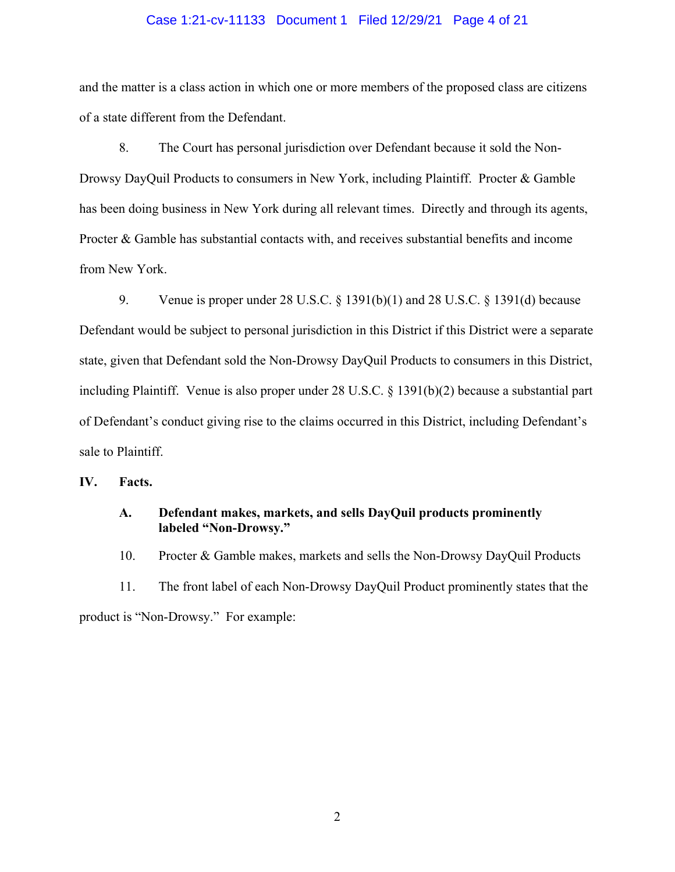### Case 1:21-cv-11133 Document 1 Filed 12/29/21 Page 4 of 21

and the matter is a class action in which one or more members of the proposed class are citizens of a state different from the Defendant.

8. The Court has personal jurisdiction over Defendant because it sold the Non-Drowsy DayQuil Products to consumers in New York, including Plaintiff. Procter & Gamble has been doing business in New York during all relevant times. Directly and through its agents, Procter & Gamble has substantial contacts with, and receives substantial benefits and income from New York.

9. Venue is proper under 28 U.S.C. § 1391(b)(1) and 28 U.S.C. § 1391(d) because Defendant would be subject to personal jurisdiction in this District if this District were a separate state, given that Defendant sold the Non-Drowsy DayQuil Products to consumers in this District, including Plaintiff. Venue is also proper under 28 U.S.C. § 1391(b)(2) because a substantial part of Defendant's conduct giving rise to the claims occurred in this District, including Defendant's sale to Plaintiff.

**IV. Facts.** 

## **A. Defendant makes, markets, and sells DayQuil products prominently labeled "Non-Drowsy."**

10. Procter & Gamble makes, markets and sells the Non-Drowsy DayQuil Products

11. The front label of each Non-Drowsy DayQuil Product prominently states that the

product is "Non-Drowsy." For example: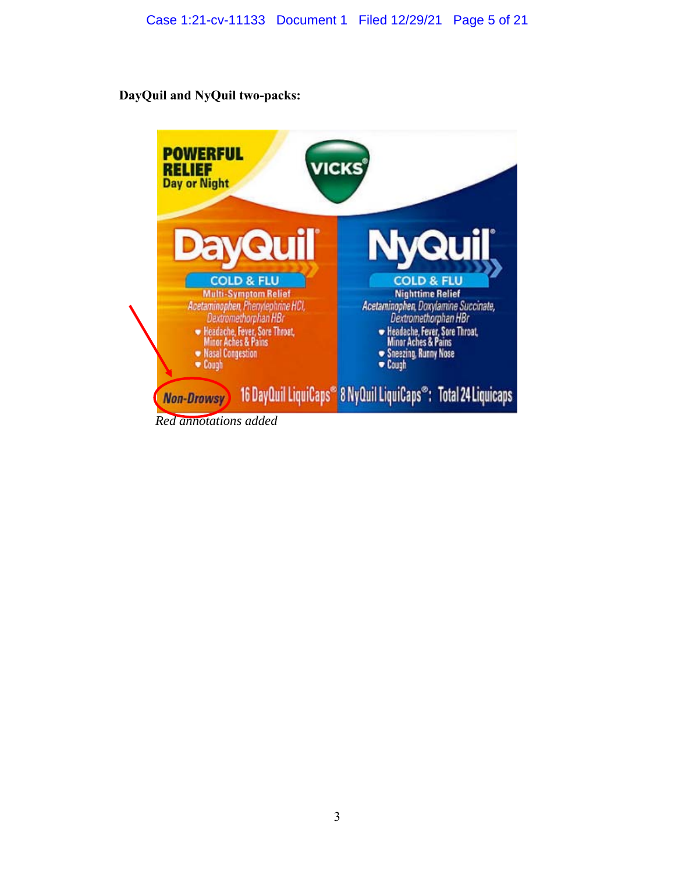## **DayQuil and NyQuil two-packs:**

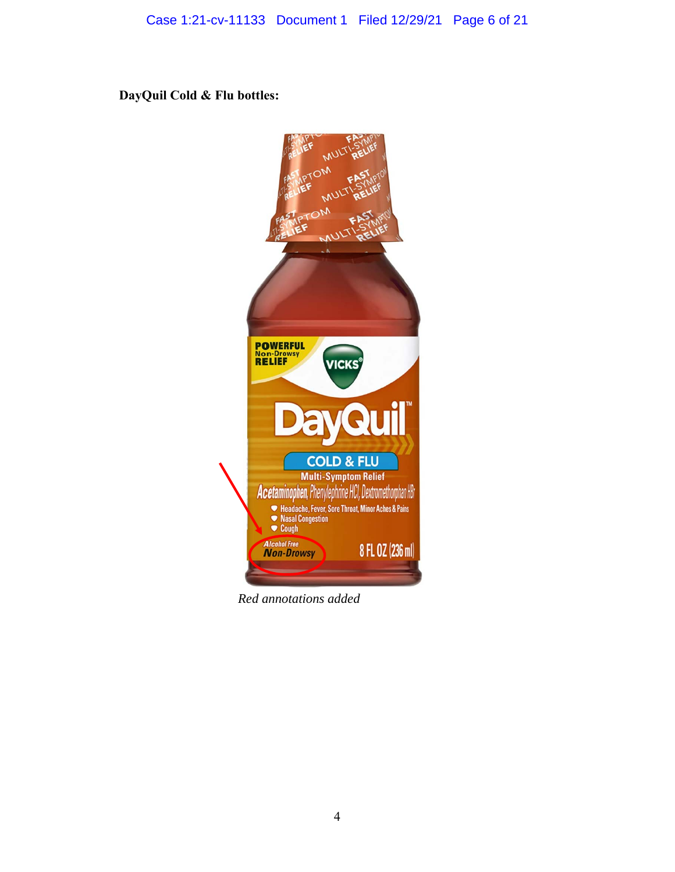**DayQuil Cold & Flu bottles:** 



*Red annotations added*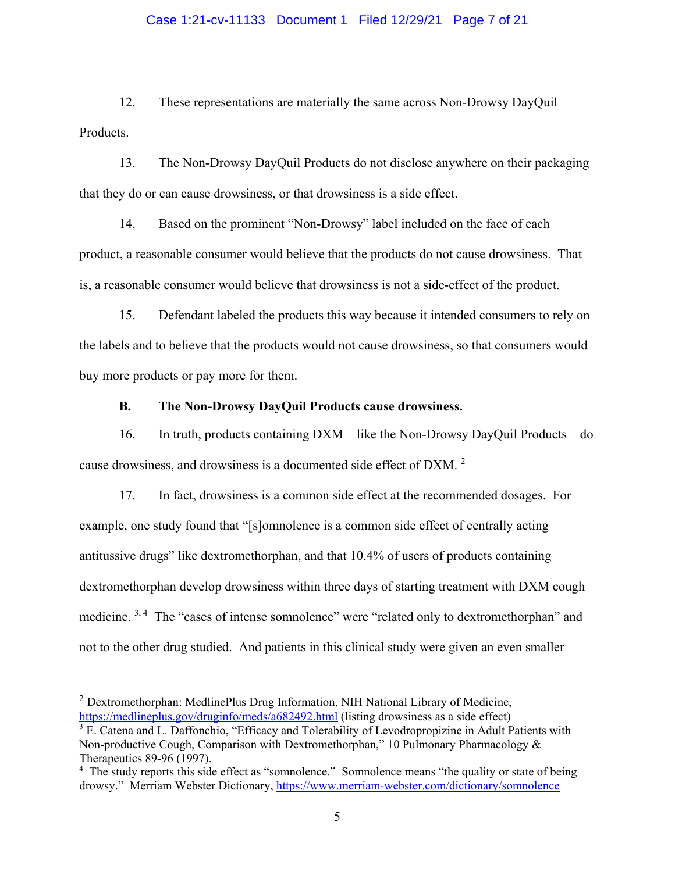## Case 1:21-cv-11133 Document 1 Filed 12/29/21 Page 7 of 21

12. These representations are materially the same across Non-Drowsy DayQuil Products.

13. The Non-Drowsy DayQuil Products do not disclose anywhere on their packaging that they do or can cause drowsiness, or that drowsiness is a side effect.

14. Based on the prominent "Non-Drowsy" label included on the face of each product, a reasonable consumer would believe that the products do not cause drowsiness. That is, a reasonable consumer would believe that drowsiness is not a side-effect of the product.

15. Defendant labeled the products this way because it intended consumers to rely on the labels and to believe that the products would not cause drowsiness, so that consumers would buy more products or pay more for them.

## **B. The Non-Drowsy DayQuil Products cause drowsiness.**

16. In truth, products containing DXM—like the Non-Drowsy DayQuil Products—do cause drowsiness, and drowsiness is a documented side effect of DXM.<sup>2</sup>

17. In fact, drowsiness is a common side effect at the recommended dosages. For example, one study found that "[s]omnolence is a common side effect of centrally acting antitussive drugs" like dextromethorphan, and that 10.4% of users of products containing dextromethorphan develop drowsiness within three days of starting treatment with DXM cough medicine. <sup>3, 4</sup> The "cases of intense somnolence" were "related only to dextromethorphan" and not to the other drug studied. And patients in this clinical study were given an even smaller

<sup>2</sup> Dextromethorphan: MedlinePlus Drug Information, NIH National Library of Medicine, https://medlineplus.gov/druginfo/meds/a682492.html (listing drowsiness as a side effect)

 $3 \text{ E.}$  Catena and L. Daffonchio, "Efficacy and Tolerability of Levodropropizine in Adult Patients with Non-productive Cough, Comparison with Dextromethorphan," 10 Pulmonary Pharmacology & Therapeutics 89-96 (1997).

<sup>&</sup>lt;sup>4</sup> The study reports this side effect as "somnolence." Somnolence means "the quality or state of being drowsy." Merriam Webster Dictionary, https://www.merriam-webster.com/dictionary/somnolence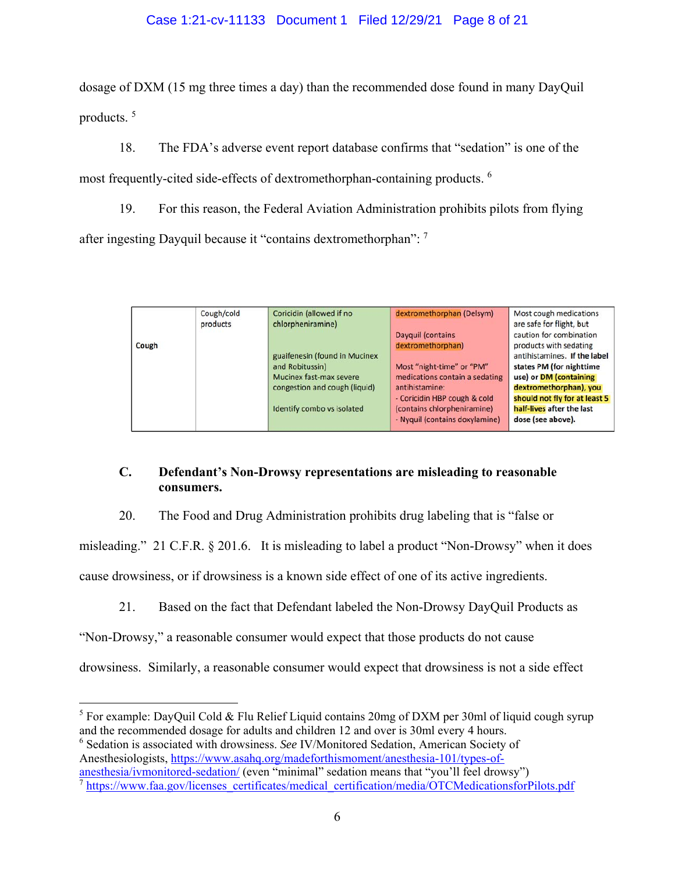## Case 1:21-cv-11133 Document 1 Filed 12/29/21 Page 8 of 21

dosage of DXM (15 mg three times a day) than the recommended dose found in many DayQuil products.<sup>5</sup>

18. The FDA's adverse event report database confirms that "sedation" is one of the most frequently-cited side-effects of dextromethorphan-containing products. 6

19. For this reason, the Federal Aviation Administration prohibits pilots from flying after ingesting Dayquil because it "contains dextromethorphan": <sup>7</sup>

|       | Cough/cold<br>products | Coricidin (allowed if no<br>chlorpheniramine) | dextromethorphan (Delsym)      | Most cough medications<br>are safe for flight, but |
|-------|------------------------|-----------------------------------------------|--------------------------------|----------------------------------------------------|
|       |                        |                                               | Dayquil (contains              | caution for combination                            |
| Cough |                        |                                               | dextromethorphan)              | products with sedating                             |
|       |                        | guaifenesin (found in Mucinex                 |                                | antihistamines. If the label                       |
|       |                        | and Robitussin)                               | Most "night-time" or "PM"      | states PM (for nighttime                           |
|       |                        | Mucinex fast-max severe                       | medications contain a sedating | use) or DM (containing                             |
|       |                        | congestion and cough (liquid)                 | antihistamine:                 | dextromethorphan), you                             |
|       |                        |                                               | - Coricidin HBP cough & cold   | should not fly for at least 5                      |
|       |                        | Identify combo vs isolated                    | (contains chlorpheniramine)    | half-lives after the last                          |
|       |                        |                                               | - Nyquil (contains doxylamine) | dose (see above).                                  |

## **C. Defendant's Non-Drowsy representations are misleading to reasonable consumers.**

20. The Food and Drug Administration prohibits drug labeling that is "false or

misleading." 21 C.F.R. § 201.6. It is misleading to label a product "Non-Drowsy" when it does

cause drowsiness, or if drowsiness is a known side effect of one of its active ingredients.

21. Based on the fact that Defendant labeled the Non-Drowsy DayQuil Products as

"Non-Drowsy," a reasonable consumer would expect that those products do not cause

drowsiness. Similarly, a reasonable consumer would expect that drowsiness is not a side effect

6 Sedation is associated with drowsiness. *See* IV/Monitored Sedation, American Society of Anesthesiologists, https://www.asahq.org/madeforthismoment/anesthesia-101/types-of-

 $\overline{a}$ 

<sup>&</sup>lt;sup>5</sup> For example: DayQuil Cold & Flu Relief Liquid contains 20mg of DXM per 30ml of liquid cough syrup and the recommended dosage for adults and children 12 and over is 30ml every 4 hours.

anesthesia/ivmonitored-sedation/ (even "minimal" sedation means that "you'll feel drowsy")

<sup>&</sup>lt;sup>7</sup> https://www.faa.gov/licenses\_certificates/medical\_certification/media/OTCMedicationsforPilots.pdf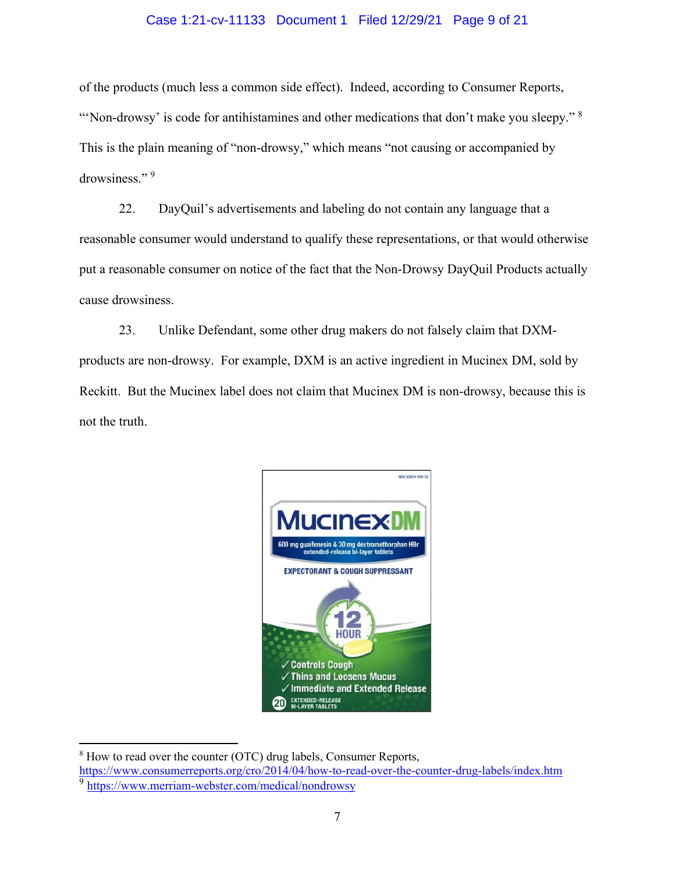## Case 1:21-cv-11133 Document 1 Filed 12/29/21 Page 9 of 21

of the products (much less a common side effect). Indeed, according to Consumer Reports, "Non-drowsy' is code for antihistamines and other medications that don't make you sleepy."  $8$ This is the plain meaning of "non-drowsy," which means "not causing or accompanied by drowsiness." 9

22. DayQuil's advertisements and labeling do not contain any language that a reasonable consumer would understand to qualify these representations, or that would otherwise put a reasonable consumer on notice of the fact that the Non-Drowsy DayQuil Products actually cause drowsiness.

23. Unlike Defendant, some other drug makers do not falsely claim that DXMproducts are non-drowsy. For example, DXM is an active ingredient in Mucinex DM, sold by Reckitt. But the Mucinex label does not claim that Mucinex DM is non-drowsy, because this is not the truth.



 $8$  How to read over the counter (OTC) drug labels, Consumer Reports,

 $\overline{a}$ 

https://www.consumerreports.org/cro/2014/04/how-to-read-over-the-counter-drug-labels/index.htm <sup>9</sup> https://www.merriam-webster.com/medical/nondrowsy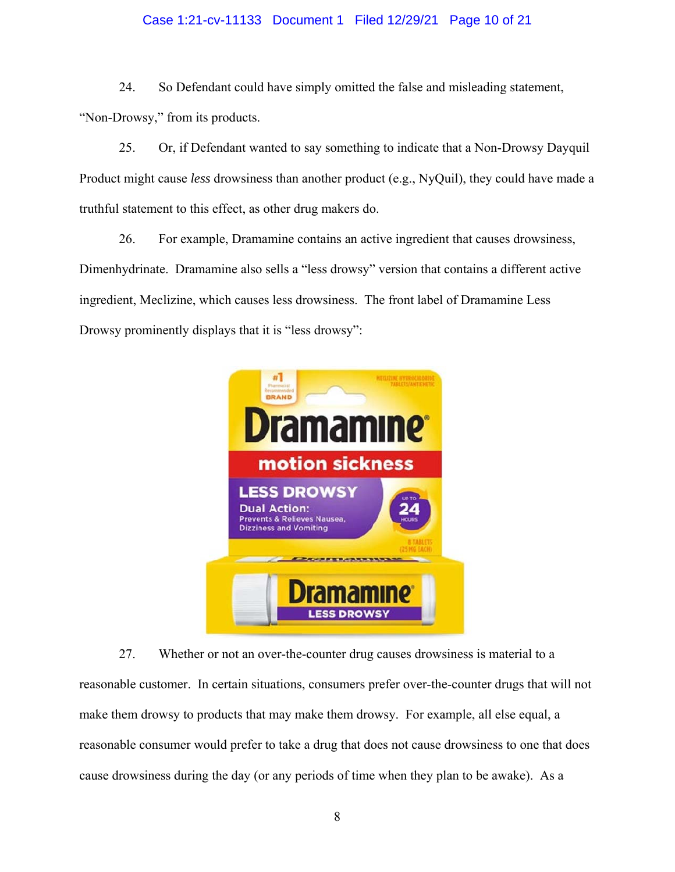## Case 1:21-cv-11133 Document 1 Filed 12/29/21 Page 10 of 21

24. So Defendant could have simply omitted the false and misleading statement, "Non-Drowsy," from its products.

25. Or, if Defendant wanted to say something to indicate that a Non-Drowsy Dayquil Product might cause *less* drowsiness than another product (e.g., NyQuil), they could have made a truthful statement to this effect, as other drug makers do.

26. For example, Dramamine contains an active ingredient that causes drowsiness, Dimenhydrinate. Dramamine also sells a "less drowsy" version that contains a different active ingredient, Meclizine, which causes less drowsiness. The front label of Dramamine Less Drowsy prominently displays that it is "less drowsy":



27. Whether or not an over-the-counter drug causes drowsiness is material to a reasonable customer. In certain situations, consumers prefer over-the-counter drugs that will not make them drowsy to products that may make them drowsy. For example, all else equal, a reasonable consumer would prefer to take a drug that does not cause drowsiness to one that does cause drowsiness during the day (or any periods of time when they plan to be awake). As a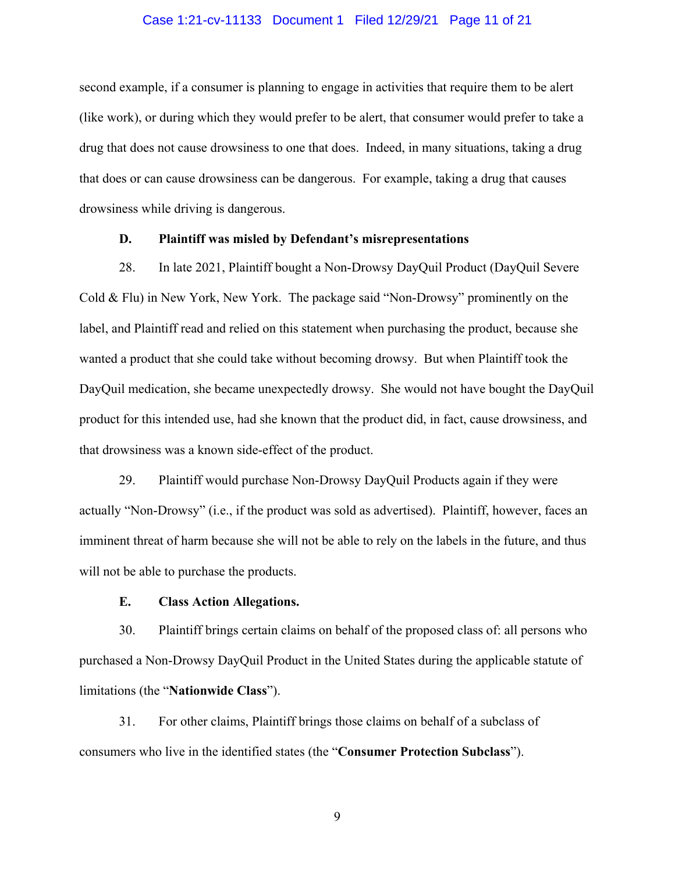## Case 1:21-cv-11133 Document 1 Filed 12/29/21 Page 11 of 21

second example, if a consumer is planning to engage in activities that require them to be alert (like work), or during which they would prefer to be alert, that consumer would prefer to take a drug that does not cause drowsiness to one that does. Indeed, in many situations, taking a drug that does or can cause drowsiness can be dangerous. For example, taking a drug that causes drowsiness while driving is dangerous.

### **D. Plaintiff was misled by Defendant's misrepresentations**

28. In late 2021, Plaintiff bought a Non-Drowsy DayQuil Product (DayQuil Severe Cold & Flu) in New York, New York. The package said "Non-Drowsy" prominently on the label, and Plaintiff read and relied on this statement when purchasing the product, because she wanted a product that she could take without becoming drowsy. But when Plaintiff took the DayQuil medication, she became unexpectedly drowsy. She would not have bought the DayQuil product for this intended use, had she known that the product did, in fact, cause drowsiness, and that drowsiness was a known side-effect of the product.

29. Plaintiff would purchase Non-Drowsy DayQuil Products again if they were actually "Non-Drowsy" (i.e., if the product was sold as advertised). Plaintiff, however, faces an imminent threat of harm because she will not be able to rely on the labels in the future, and thus will not be able to purchase the products.

## **E. Class Action Allegations.**

30. Plaintiff brings certain claims on behalf of the proposed class of: all persons who purchased a Non-Drowsy DayQuil Product in the United States during the applicable statute of limitations (the "**Nationwide Class**").

31. For other claims, Plaintiff brings those claims on behalf of a subclass of consumers who live in the identified states (the "**Consumer Protection Subclass**").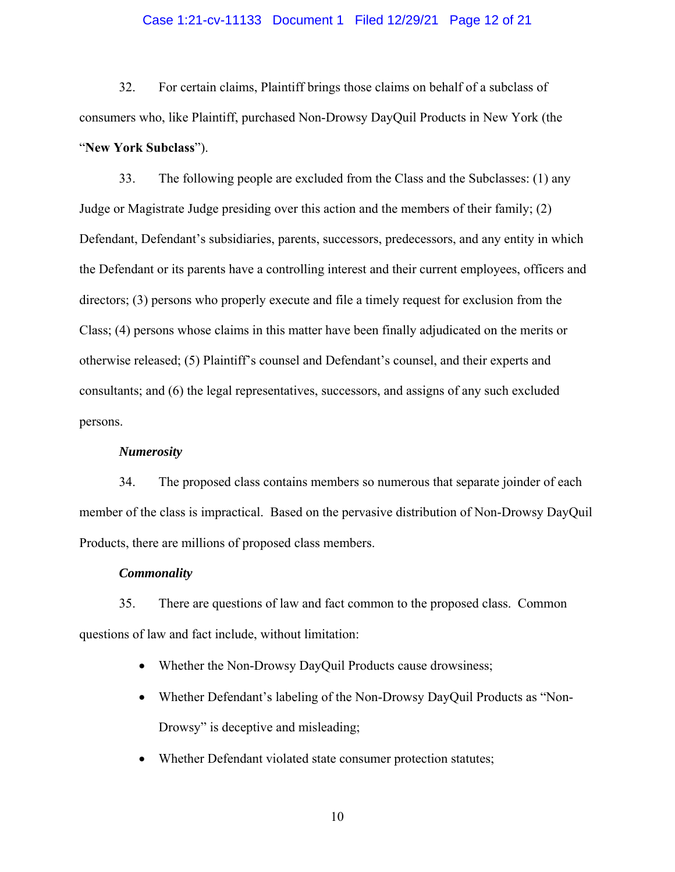## Case 1:21-cv-11133 Document 1 Filed 12/29/21 Page 12 of 21

32. For certain claims, Plaintiff brings those claims on behalf of a subclass of consumers who, like Plaintiff, purchased Non-Drowsy DayQuil Products in New York (the "**New York Subclass**").

33. The following people are excluded from the Class and the Subclasses: (1) any Judge or Magistrate Judge presiding over this action and the members of their family; (2) Defendant, Defendant's subsidiaries, parents, successors, predecessors, and any entity in which the Defendant or its parents have a controlling interest and their current employees, officers and directors; (3) persons who properly execute and file a timely request for exclusion from the Class; (4) persons whose claims in this matter have been finally adjudicated on the merits or otherwise released; (5) Plaintiff's counsel and Defendant's counsel, and their experts and consultants; and (6) the legal representatives, successors, and assigns of any such excluded persons.

## *Numerosity*

34. The proposed class contains members so numerous that separate joinder of each member of the class is impractical. Based on the pervasive distribution of Non-Drowsy DayQuil Products, there are millions of proposed class members.

#### *Commonality*

35. There are questions of law and fact common to the proposed class. Common questions of law and fact include, without limitation:

- Whether the Non-Drowsy DayQuil Products cause drowsiness;
- Whether Defendant's labeling of the Non-Drowsy DayQuil Products as "Non-Drowsy" is deceptive and misleading;
- Whether Defendant violated state consumer protection statutes;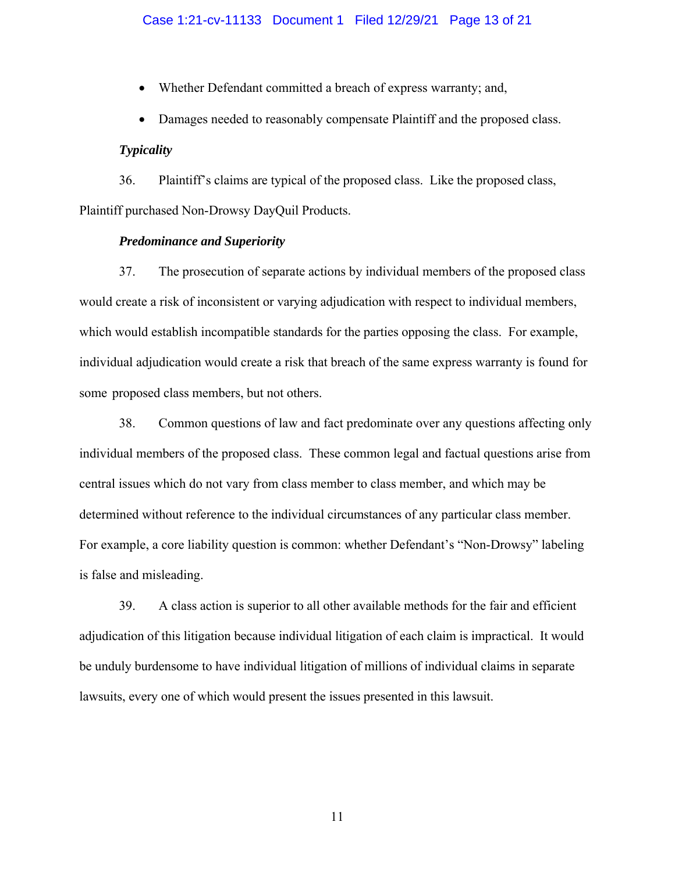- Whether Defendant committed a breach of express warranty; and,
- Damages needed to reasonably compensate Plaintiff and the proposed class.

### *Typicality*

36. Plaintiff's claims are typical of the proposed class. Like the proposed class, Plaintiff purchased Non-Drowsy DayQuil Products.

### *Predominance and Superiority*

37. The prosecution of separate actions by individual members of the proposed class would create a risk of inconsistent or varying adjudication with respect to individual members, which would establish incompatible standards for the parties opposing the class. For example, individual adjudication would create a risk that breach of the same express warranty is found for some proposed class members, but not others.

38. Common questions of law and fact predominate over any questions affecting only individual members of the proposed class. These common legal and factual questions arise from central issues which do not vary from class member to class member, and which may be determined without reference to the individual circumstances of any particular class member. For example, a core liability question is common: whether Defendant's "Non-Drowsy" labeling is false and misleading.

39. A class action is superior to all other available methods for the fair and efficient adjudication of this litigation because individual litigation of each claim is impractical. It would be unduly burdensome to have individual litigation of millions of individual claims in separate lawsuits, every one of which would present the issues presented in this lawsuit.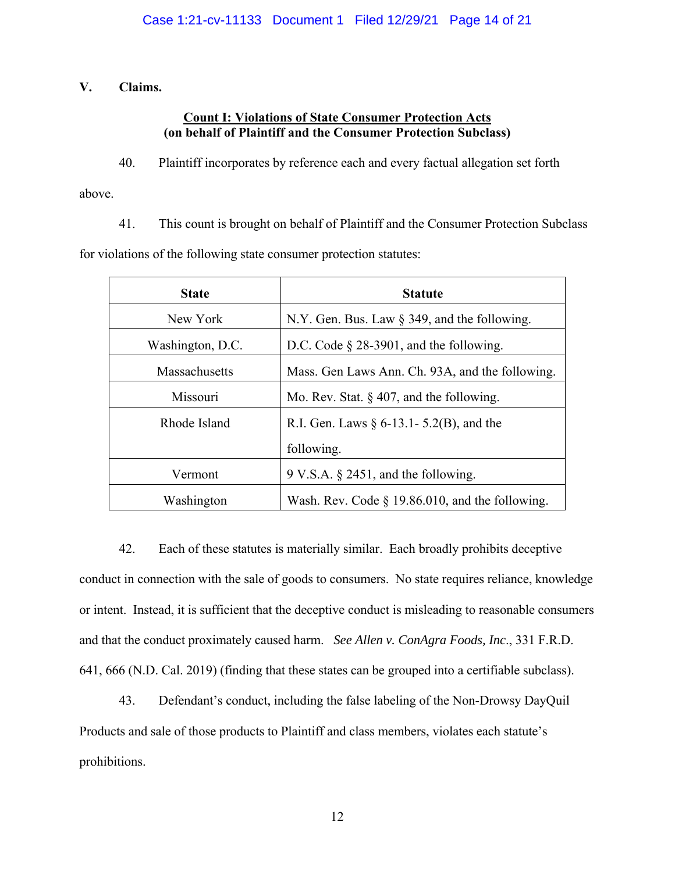## **V. Claims.**

## **Count I: Violations of State Consumer Protection Acts (on behalf of Plaintiff and the Consumer Protection Subclass)**

40. Plaintiff incorporates by reference each and every factual allegation set forth

above.

41. This count is brought on behalf of Plaintiff and the Consumer Protection Subclass

for violations of the following state consumer protection statutes:

| <b>State</b>     | <b>Statute</b>                                     |  |
|------------------|----------------------------------------------------|--|
| New York         | N.Y. Gen. Bus. Law $\S$ 349, and the following.    |  |
| Washington, D.C. | D.C. Code $\S$ 28-3901, and the following.         |  |
| Massachusetts    | Mass. Gen Laws Ann. Ch. 93A, and the following.    |  |
| Missouri         | Mo. Rev. Stat. $\S$ 407, and the following.        |  |
| Rhode Island     | R.I. Gen. Laws $\S 6$ -13.1 - 5.2(B), and the      |  |
|                  | following.                                         |  |
| Vermont          | $9 \text{ V.S.A. }$ § 2451, and the following.     |  |
| Washington       | Wash. Rev. Code $\S$ 19.86.010, and the following. |  |

42. Each of these statutes is materially similar. Each broadly prohibits deceptive conduct in connection with the sale of goods to consumers. No state requires reliance, knowledge or intent. Instead, it is sufficient that the deceptive conduct is misleading to reasonable consumers and that the conduct proximately caused harm. *See Allen v. ConAgra Foods, Inc*., 331 F.R.D. 641, 666 (N.D. Cal. 2019) (finding that these states can be grouped into a certifiable subclass).

43. Defendant's conduct, including the false labeling of the Non-Drowsy DayQuil Products and sale of those products to Plaintiff and class members, violates each statute's prohibitions.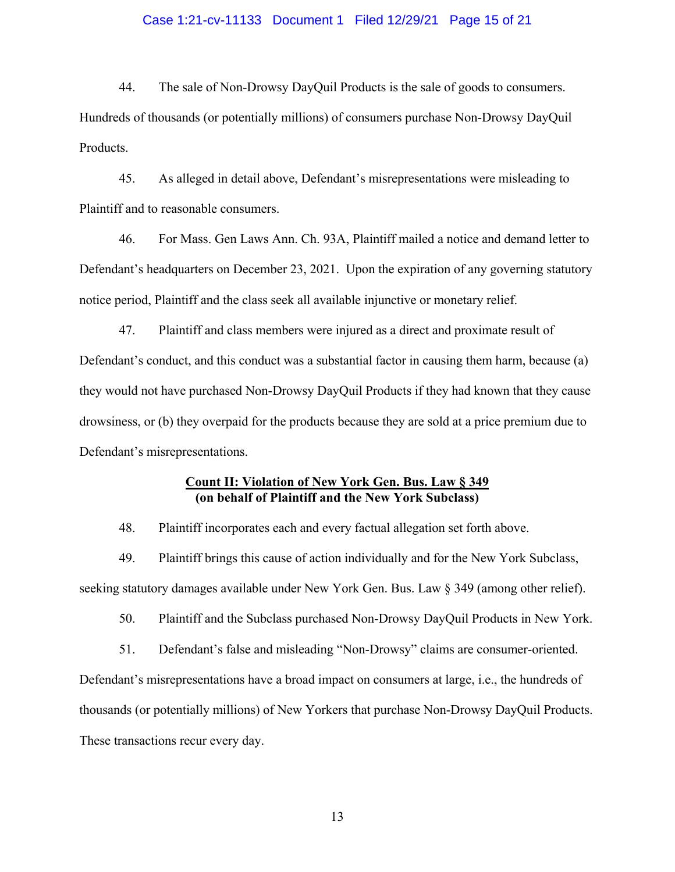## Case 1:21-cv-11133 Document 1 Filed 12/29/21 Page 15 of 21

44. The sale of Non-Drowsy DayQuil Products is the sale of goods to consumers. Hundreds of thousands (or potentially millions) of consumers purchase Non-Drowsy DayQuil Products.

45. As alleged in detail above, Defendant's misrepresentations were misleading to Plaintiff and to reasonable consumers.

46. For Mass. Gen Laws Ann. Ch. 93A, Plaintiff mailed a notice and demand letter to Defendant's headquarters on December 23, 2021. Upon the expiration of any governing statutory notice period, Plaintiff and the class seek all available injunctive or monetary relief.

47. Plaintiff and class members were injured as a direct and proximate result of Defendant's conduct, and this conduct was a substantial factor in causing them harm, because (a) they would not have purchased Non-Drowsy DayQuil Products if they had known that they cause drowsiness, or (b) they overpaid for the products because they are sold at a price premium due to Defendant's misrepresentations.

## **Count II: Violation of New York Gen. Bus. Law § 349 (on behalf of Plaintiff and the New York Subclass)**

48. Plaintiff incorporates each and every factual allegation set forth above.

49. Plaintiff brings this cause of action individually and for the New York Subclass, seeking statutory damages available under New York Gen. Bus. Law § 349 (among other relief).

50. Plaintiff and the Subclass purchased Non-Drowsy DayQuil Products in New York.

51. Defendant's false and misleading "Non-Drowsy" claims are consumer-oriented.

Defendant's misrepresentations have a broad impact on consumers at large, i.e., the hundreds of thousands (or potentially millions) of New Yorkers that purchase Non-Drowsy DayQuil Products. These transactions recur every day.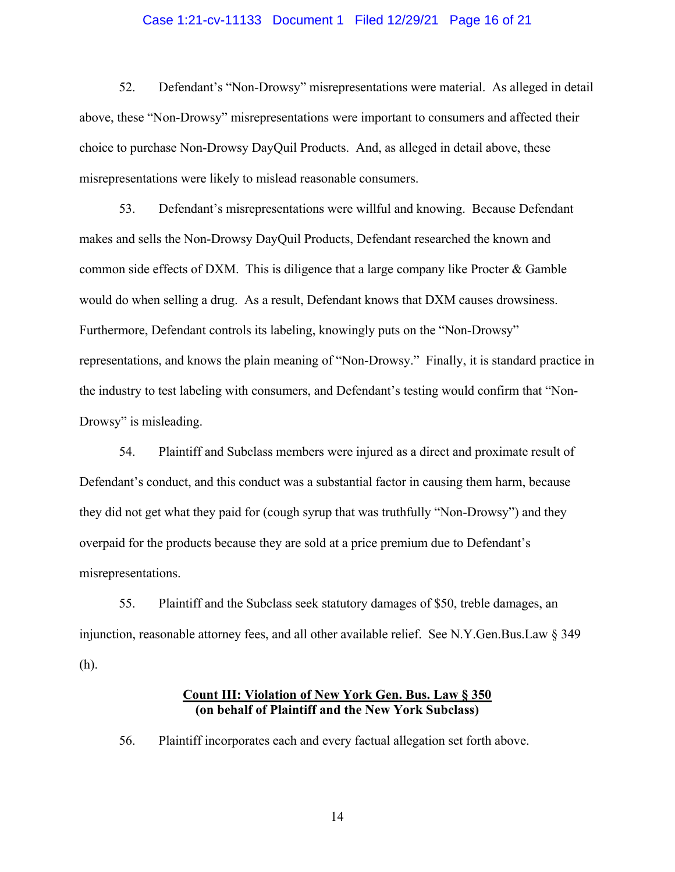## Case 1:21-cv-11133 Document 1 Filed 12/29/21 Page 16 of 21

52. Defendant's "Non-Drowsy" misrepresentations were material. As alleged in detail above, these "Non-Drowsy" misrepresentations were important to consumers and affected their choice to purchase Non-Drowsy DayQuil Products. And, as alleged in detail above, these misrepresentations were likely to mislead reasonable consumers.

53. Defendant's misrepresentations were willful and knowing. Because Defendant makes and sells the Non-Drowsy DayQuil Products, Defendant researched the known and common side effects of DXM. This is diligence that a large company like Procter  $\&$  Gamble would do when selling a drug. As a result, Defendant knows that DXM causes drowsiness. Furthermore, Defendant controls its labeling, knowingly puts on the "Non-Drowsy" representations, and knows the plain meaning of "Non-Drowsy." Finally, it is standard practice in the industry to test labeling with consumers, and Defendant's testing would confirm that "Non-Drowsy" is misleading.

54. Plaintiff and Subclass members were injured as a direct and proximate result of Defendant's conduct, and this conduct was a substantial factor in causing them harm, because they did not get what they paid for (cough syrup that was truthfully "Non-Drowsy") and they overpaid for the products because they are sold at a price premium due to Defendant's misrepresentations.

55. Plaintiff and the Subclass seek statutory damages of \$50, treble damages, an injunction, reasonable attorney fees, and all other available relief. See N.Y.Gen.Bus.Law § 349 (h).

## **Count III: Violation of New York Gen. Bus. Law § 350 (on behalf of Plaintiff and the New York Subclass)**

56. Plaintiff incorporates each and every factual allegation set forth above.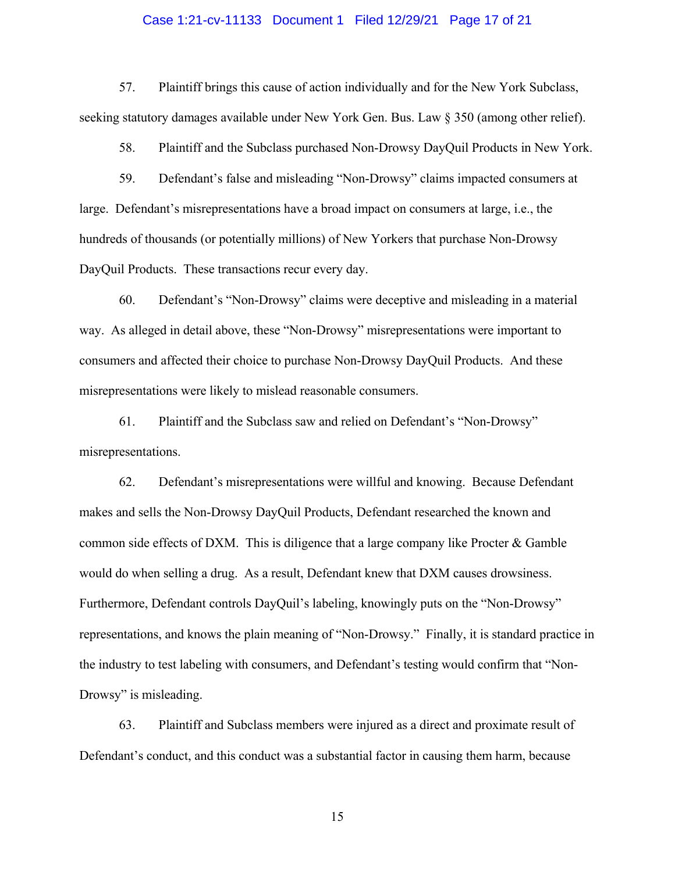## Case 1:21-cv-11133 Document 1 Filed 12/29/21 Page 17 of 21

57. Plaintiff brings this cause of action individually and for the New York Subclass, seeking statutory damages available under New York Gen. Bus. Law § 350 (among other relief).

58. Plaintiff and the Subclass purchased Non-Drowsy DayQuil Products in New York.

59. Defendant's false and misleading "Non-Drowsy" claims impacted consumers at large. Defendant's misrepresentations have a broad impact on consumers at large, i.e., the hundreds of thousands (or potentially millions) of New Yorkers that purchase Non-Drowsy DayQuil Products. These transactions recur every day.

60. Defendant's "Non-Drowsy" claims were deceptive and misleading in a material way. As alleged in detail above, these "Non-Drowsy" misrepresentations were important to consumers and affected their choice to purchase Non-Drowsy DayQuil Products. And these misrepresentations were likely to mislead reasonable consumers.

61. Plaintiff and the Subclass saw and relied on Defendant's "Non-Drowsy" misrepresentations.

62. Defendant's misrepresentations were willful and knowing. Because Defendant makes and sells the Non-Drowsy DayQuil Products, Defendant researched the known and common side effects of DXM. This is diligence that a large company like Procter  $\&$  Gamble would do when selling a drug. As a result, Defendant knew that DXM causes drowsiness. Furthermore, Defendant controls DayQuil's labeling, knowingly puts on the "Non-Drowsy" representations, and knows the plain meaning of "Non-Drowsy." Finally, it is standard practice in the industry to test labeling with consumers, and Defendant's testing would confirm that "Non-Drowsy" is misleading.

63. Plaintiff and Subclass members were injured as a direct and proximate result of Defendant's conduct, and this conduct was a substantial factor in causing them harm, because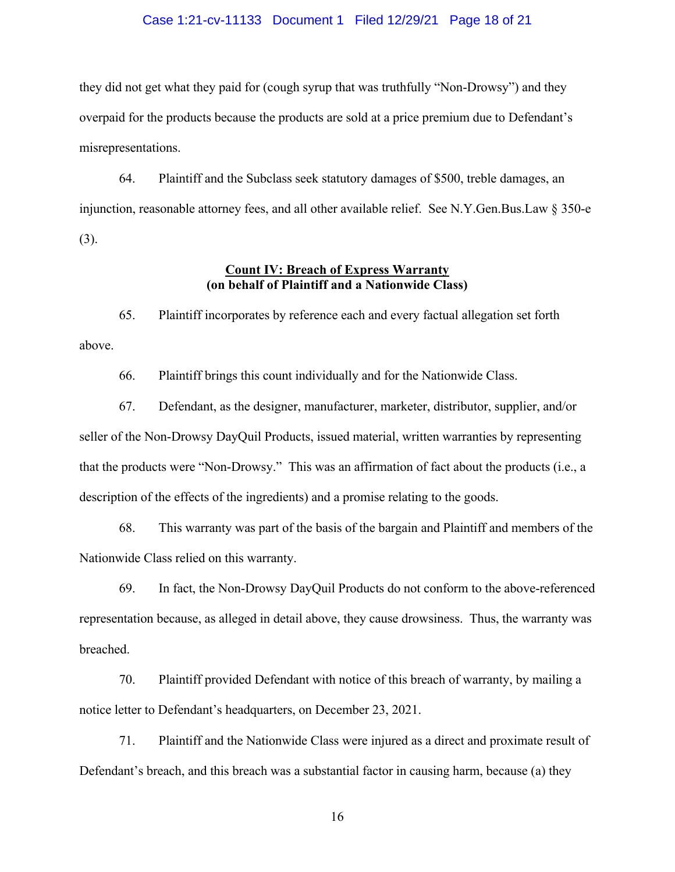## Case 1:21-cv-11133 Document 1 Filed 12/29/21 Page 18 of 21

they did not get what they paid for (cough syrup that was truthfully "Non-Drowsy") and they overpaid for the products because the products are sold at a price premium due to Defendant's misrepresentations.

64. Plaintiff and the Subclass seek statutory damages of \$500, treble damages, an injunction, reasonable attorney fees, and all other available relief. See N.Y.Gen.Bus.Law § 350-e (3).

## **Count IV: Breach of Express Warranty (on behalf of Plaintiff and a Nationwide Class)**

65. Plaintiff incorporates by reference each and every factual allegation set forth above.

66. Plaintiff brings this count individually and for the Nationwide Class.

67. Defendant, as the designer, manufacturer, marketer, distributor, supplier, and/or seller of the Non-Drowsy DayQuil Products, issued material, written warranties by representing that the products were "Non-Drowsy." This was an affirmation of fact about the products (i.e., a description of the effects of the ingredients) and a promise relating to the goods.

68. This warranty was part of the basis of the bargain and Plaintiff and members of the Nationwide Class relied on this warranty.

69. In fact, the Non-Drowsy DayQuil Products do not conform to the above-referenced representation because, as alleged in detail above, they cause drowsiness. Thus, the warranty was breached.

70. Plaintiff provided Defendant with notice of this breach of warranty, by mailing a notice letter to Defendant's headquarters, on December 23, 2021.

71. Plaintiff and the Nationwide Class were injured as a direct and proximate result of Defendant's breach, and this breach was a substantial factor in causing harm, because (a) they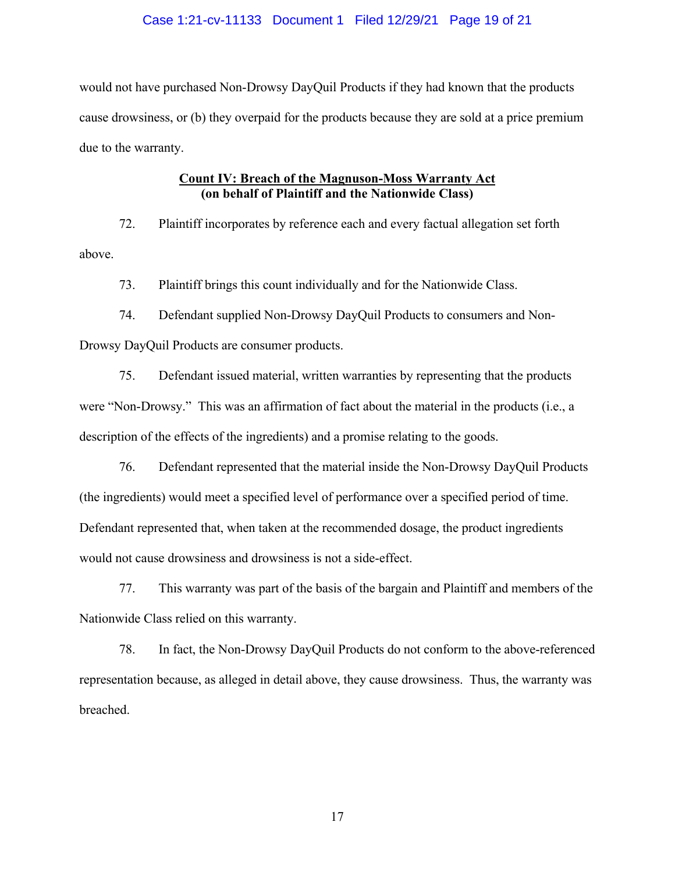## Case 1:21-cv-11133 Document 1 Filed 12/29/21 Page 19 of 21

would not have purchased Non-Drowsy DayQuil Products if they had known that the products cause drowsiness, or (b) they overpaid for the products because they are sold at a price premium due to the warranty.

## **Count IV: Breach of the Magnuson-Moss Warranty Act (on behalf of Plaintiff and the Nationwide Class)**

72. Plaintiff incorporates by reference each and every factual allegation set forth above.

73. Plaintiff brings this count individually and for the Nationwide Class.

74. Defendant supplied Non-Drowsy DayQuil Products to consumers and Non-Drowsy DayQuil Products are consumer products.

75. Defendant issued material, written warranties by representing that the products were "Non-Drowsy." This was an affirmation of fact about the material in the products (i.e., a description of the effects of the ingredients) and a promise relating to the goods.

76. Defendant represented that the material inside the Non-Drowsy DayQuil Products (the ingredients) would meet a specified level of performance over a specified period of time. Defendant represented that, when taken at the recommended dosage, the product ingredients would not cause drowsiness and drowsiness is not a side-effect.

77. This warranty was part of the basis of the bargain and Plaintiff and members of the Nationwide Class relied on this warranty.

78. In fact, the Non-Drowsy DayQuil Products do not conform to the above-referenced representation because, as alleged in detail above, they cause drowsiness. Thus, the warranty was breached.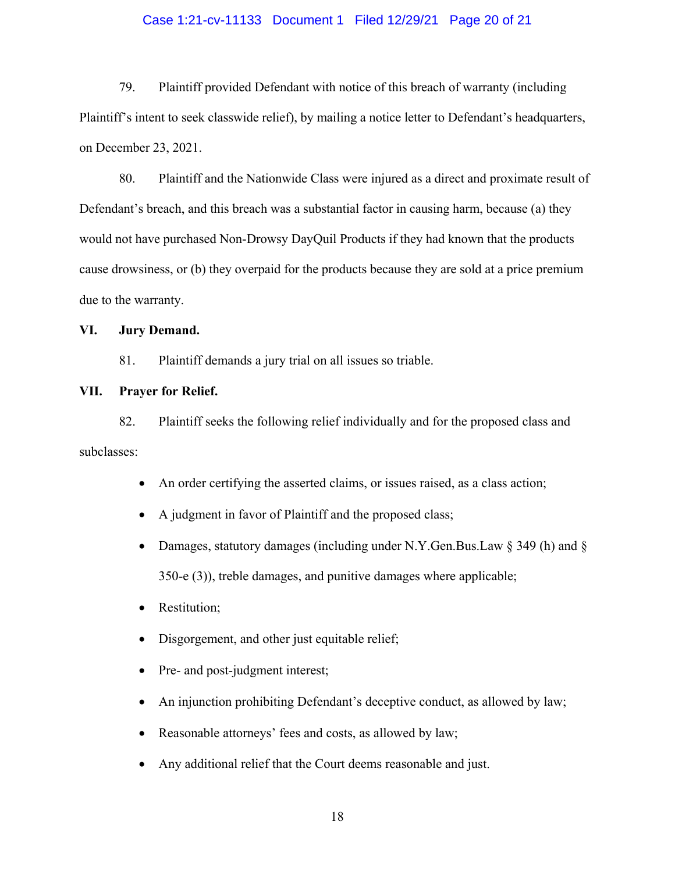## Case 1:21-cv-11133 Document 1 Filed 12/29/21 Page 20 of 21

79. Plaintiff provided Defendant with notice of this breach of warranty (including Plaintiff's intent to seek classwide relief), by mailing a notice letter to Defendant's headquarters, on December 23, 2021.

80. Plaintiff and the Nationwide Class were injured as a direct and proximate result of Defendant's breach, and this breach was a substantial factor in causing harm, because (a) they would not have purchased Non-Drowsy DayQuil Products if they had known that the products cause drowsiness, or (b) they overpaid for the products because they are sold at a price premium due to the warranty.

## **VI. Jury Demand.**

81. Plaintiff demands a jury trial on all issues so triable.

## **VII. Prayer for Relief.**

82. Plaintiff seeks the following relief individually and for the proposed class and subclasses:

- An order certifying the asserted claims, or issues raised, as a class action;
- A judgment in favor of Plaintiff and the proposed class;
- Damages, statutory damages (including under N.Y.Gen.Bus.Law  $\S$  349 (h) and  $\S$ 350-e (3)), treble damages, and punitive damages where applicable;
- Restitution;
- Disgorgement, and other just equitable relief;
- Pre- and post-judgment interest;
- An injunction prohibiting Defendant's deceptive conduct, as allowed by law;
- Reasonable attorneys' fees and costs, as allowed by law;
- Any additional relief that the Court deems reasonable and just.